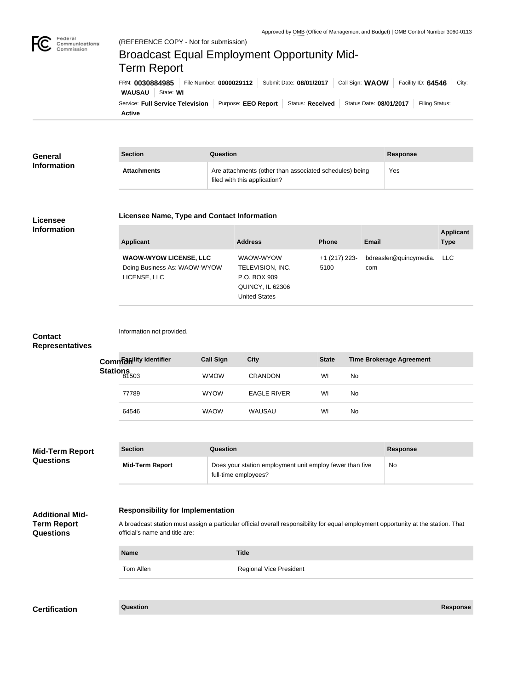

Federal

## **WAUSAU** State: **WI** FRN: **0030884985** File Number: **0000029112** Submit Date: **08/01/2017** Call Sign: **WAOW** Facility ID: **64546** City: (REFERENCE COPY - Not for submission) Broadcast Equal Employment Opportunity Mid-Term Report

**Active** Service: Full Service Television | Purpose: EEO Report | Status: Received | Status Date: 08/01/2017 | Filing Status:

| General            | <b>Section</b>     | Question                                                                                | <b>Response</b> |
|--------------------|--------------------|-----------------------------------------------------------------------------------------|-----------------|
| <b>Information</b> | <b>Attachments</b> | Are attachments (other than associated schedules) being<br>filed with this application? | Yes             |

#### **Licensee Information**

#### **Licensee Name, Type and Contact Information**

| Applicant                                                                     | <b>Address</b>                                                                            | <b>Phone</b>          | Email                             | <b>Applicant</b><br><b>Type</b> |
|-------------------------------------------------------------------------------|-------------------------------------------------------------------------------------------|-----------------------|-----------------------------------|---------------------------------|
| <b>WAOW-WYOW LICENSE, LLC</b><br>Doing Business As: WAOW-WYOW<br>LICENSE, LLC | WAOW-WYOW<br>TELEVISION, INC.<br>P.O. BOX 909<br>QUINCY, IL 62306<br><b>United States</b> | +1 (217) 223-<br>5100 | bdreasler@quincymedia. LLC<br>com |                                 |

# **Contact**

Information not provided.

### **Representatives**

|                  | Common dividentifier | <b>Call Sign</b> | <b>City</b>        | <b>State</b> | <b>Time Brokerage Agreement</b> |
|------------------|----------------------|------------------|--------------------|--------------|---------------------------------|
| Stations<br>1503 |                      | <b>WMOW</b>      | CRANDON            | WI           | No                              |
|                  | 77789                | <b>WYOW</b>      | <b>EAGLE RIVER</b> | WI           | No                              |
|                  | 64546                | <b>WAOW</b>      | WAUSAU             | WI           | No                              |

| <b>Mid-Term Report</b> | <b>Section</b>         | Question                                                                         | <b>Response</b> |
|------------------------|------------------------|----------------------------------------------------------------------------------|-----------------|
| <b>Questions</b>       | <b>Mid-Term Report</b> | Does your station employment unit employ fewer than five<br>full-time employees? | No              |

#### **Responsibility for Implementation**

**Additional Mid-Term Report Questions**

A broadcast station must assign a particular official overall responsibility for equal employment opportunity at the station. That official's name and title are:

| <b>Name</b> | <b>Title</b>                   |
|-------------|--------------------------------|
| Tom Allen   | <b>Regional Vice President</b> |

**Certification Question Response**